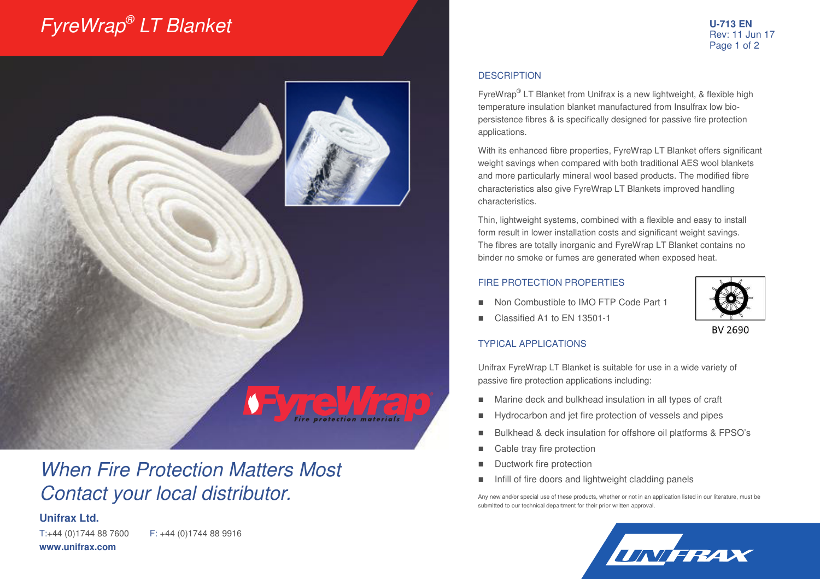# FyreWrap® LT Blanket



## When Fire Protection Matters Most Contact your local distributor.

### **Unifrax Ltd.**

T:+44 (0)1744 88 7600 F: +44 (0)1744 88 9916 **www.unifrax.com** 

#### **DESCRIPTION**

FyreWrap® LT Blanket from Unifrax is a new lightweight, & flexible high temperature insulation blanket manufactured from Insulfrax low biopersistence fibres & is specifically designed for passive fire protection applications.

With its enhanced fibre properties, FyreWrap LT Blanket offers significant weight savings when compared with both traditional AES wool blankets and more particularly mineral wool based products. The modified fibre characteristics also give FyreWrap LT Blankets improved handling characteristics.

Thin, lightweight systems, combined with a flexible and easy to install form result in lower installation costs and significant weight savings. The fibres are totally inorganic and FyreWrap LT Blanket contains no binder no smoke or fumes are generated when exposed heat.

#### FIRE PROTECTION PROPERTIES

Non Combustible to IMO FTP Code Part 1



BV 2690

Classified A1 to EN 13501-1

#### TYPICAL APPLICATIONS

Unifrax FyreWrap LT Blanket is suitable for use in a wide variety of passive fire protection applications including:

- Marine deck and bulkhead insulation in all types of craft
- Hydrocarbon and jet fire protection of vessels and pipes
- Bulkhead & deck insulation for offshore oil platforms & FPSO's
- Cable tray fire protection
- Ductwork fire protection
- Infill of fire doors and lightweight cladding panels

Any new and/or special use of these products, whether or not in an application listed in our literature, must be submitted to our technical department for their prior written approval.